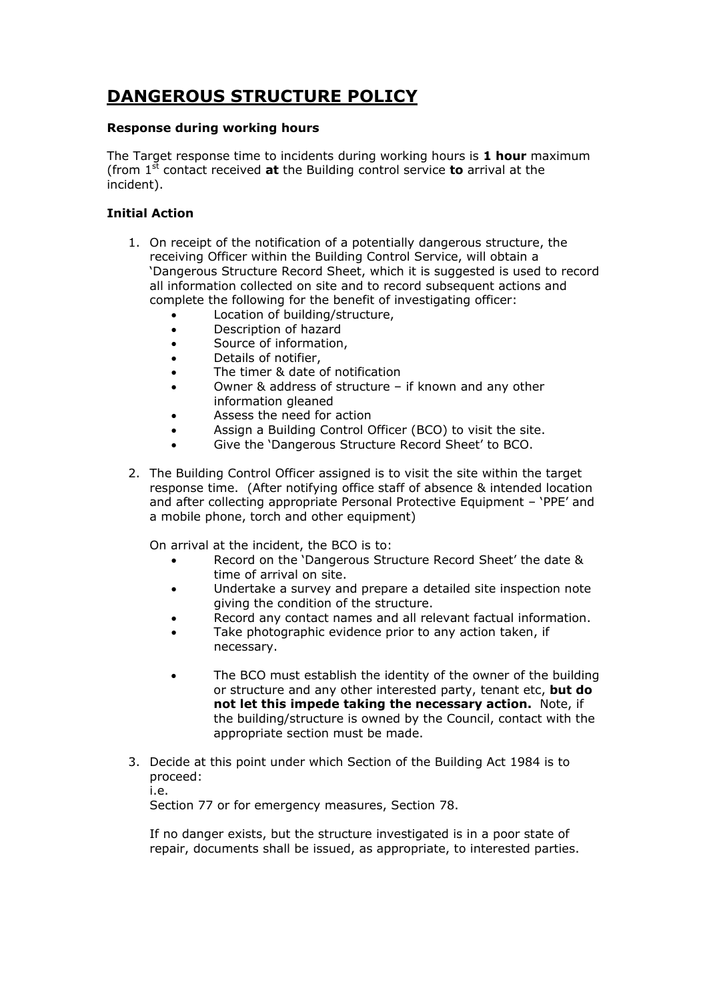# **DANGEROUS STRUCTURE POLICY**

## **Response during working hours**

The Target response time to incidents during working hours is **1 hour** maximum (from 1st contact received **at** the Building control service **to** arrival at the incident).

## **Initial Action**

- 1. On receipt of the notification of a potentially dangerous structure, the receiving Officer within the Building Control Service, will obtain a 'Dangerous Structure Record Sheet, which it is suggested is used to record all information collected on site and to record subsequent actions and complete the following for the benefit of investigating officer:
	- Location of building/structure,
	- Description of hazard
	- Source of information,
	- Details of notifier,
	- The timer & date of notification
	- Owner & address of structure if known and any other information gleaned
	- Assess the need for action
	- Assign a Building Control Officer (BCO) to visit the site.
	- Give the 'Dangerous Structure Record Sheet' to BCO.
- 2. The Building Control Officer assigned is to visit the site within the target response time. (After notifying office staff of absence & intended location and after collecting appropriate Personal Protective Equipment – 'PPE' and a mobile phone, torch and other equipment)

On arrival at the incident, the BCO is to:

- Record on the 'Dangerous Structure Record Sheet' the date & time of arrival on site.
- Undertake a survey and prepare a detailed site inspection note giving the condition of the structure.
- Record any contact names and all relevant factual information.
- Take photographic evidence prior to any action taken, if necessary.
- The BCO must establish the identity of the owner of the building or structure and any other interested party, tenant etc, **but do not let this impede taking the necessary action.** Note, if the building/structure is owned by the Council, contact with the appropriate section must be made.
- 3. Decide at this point under which Section of the Building Act 1984 is to proceed:

i.e.

Section 77 or for emergency measures, Section 78.

If no danger exists, but the structure investigated is in a poor state of repair, documents shall be issued, as appropriate, to interested parties.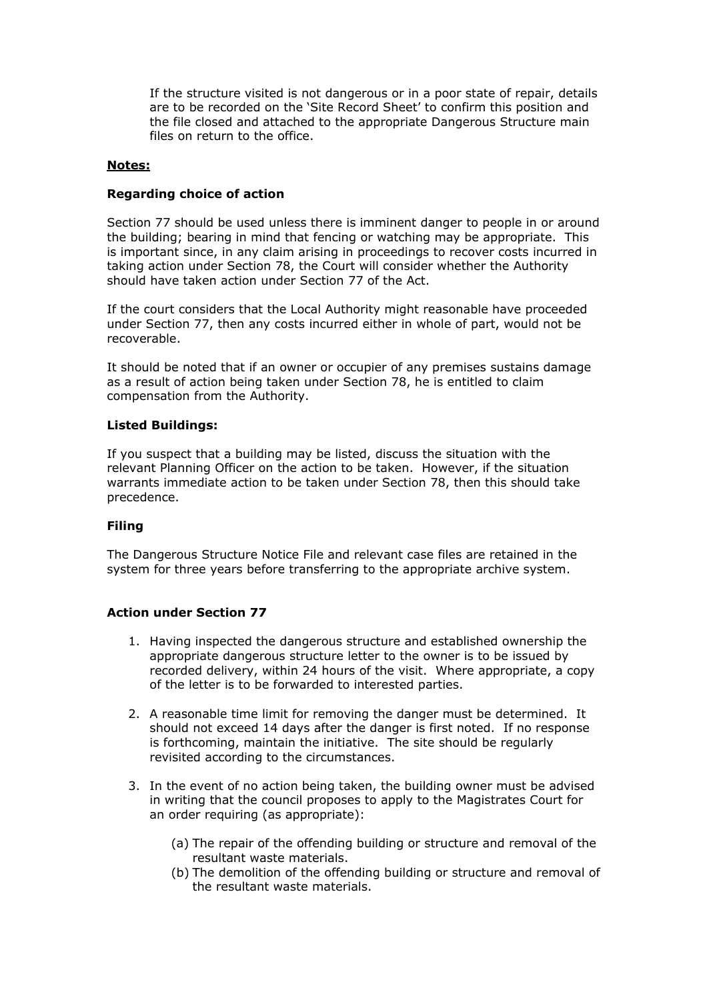If the structure visited is not dangerous or in a poor state of repair, details are to be recorded on the 'Site Record Sheet' to confirm this position and the file closed and attached to the appropriate Dangerous Structure main files on return to the office.

## **Notes:**

## **Regarding choice of action**

Section 77 should be used unless there is imminent danger to people in or around the building; bearing in mind that fencing or watching may be appropriate. This is important since, in any claim arising in proceedings to recover costs incurred in taking action under Section 78, the Court will consider whether the Authority should have taken action under Section 77 of the Act.

If the court considers that the Local Authority might reasonable have proceeded under Section 77, then any costs incurred either in whole of part, would not be recoverable.

It should be noted that if an owner or occupier of any premises sustains damage as a result of action being taken under Section 78, he is entitled to claim compensation from the Authority.

#### **Listed Buildings:**

If you suspect that a building may be listed, discuss the situation with the relevant Planning Officer on the action to be taken. However, if the situation warrants immediate action to be taken under Section 78, then this should take precedence.

#### **Filing**

The Dangerous Structure Notice File and relevant case files are retained in the system for three years before transferring to the appropriate archive system.

## **Action under Section 77**

- 1. Having inspected the dangerous structure and established ownership the appropriate dangerous structure letter to the owner is to be issued by recorded delivery, within 24 hours of the visit. Where appropriate, a copy of the letter is to be forwarded to interested parties.
- 2. A reasonable time limit for removing the danger must be determined. It should not exceed 14 days after the danger is first noted. If no response is forthcoming, maintain the initiative. The site should be regularly revisited according to the circumstances.
- 3. In the event of no action being taken, the building owner must be advised in writing that the council proposes to apply to the Magistrates Court for an order requiring (as appropriate):
	- (a) The repair of the offending building or structure and removal of the resultant waste materials.
	- (b) The demolition of the offending building or structure and removal of the resultant waste materials.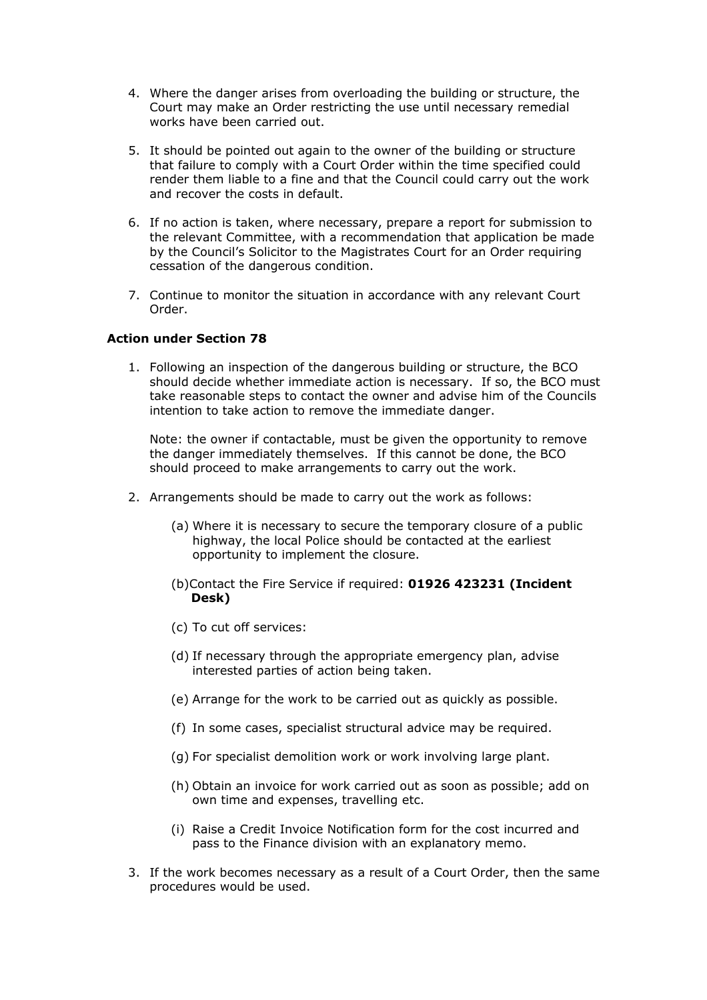- 4. Where the danger arises from overloading the building or structure, the Court may make an Order restricting the use until necessary remedial works have been carried out.
- 5. It should be pointed out again to the owner of the building or structure that failure to comply with a Court Order within the time specified could render them liable to a fine and that the Council could carry out the work and recover the costs in default.
- 6. If no action is taken, where necessary, prepare a report for submission to the relevant Committee, with a recommendation that application be made by the Council's Solicitor to the Magistrates Court for an Order requiring cessation of the dangerous condition.
- 7. Continue to monitor the situation in accordance with any relevant Court Order.

## **Action under Section 78**

1. Following an inspection of the dangerous building or structure, the BCO should decide whether immediate action is necessary. If so, the BCO must take reasonable steps to contact the owner and advise him of the Councils intention to take action to remove the immediate danger.

Note: the owner if contactable, must be given the opportunity to remove the danger immediately themselves. If this cannot be done, the BCO should proceed to make arrangements to carry out the work.

- 2. Arrangements should be made to carry out the work as follows:
	- (a) Where it is necessary to secure the temporary closure of a public highway, the local Police should be contacted at the earliest opportunity to implement the closure.
	- (b)Contact the Fire Service if required: **01926 423231 (Incident Desk)**
	- (c) To cut off services:
	- (d) If necessary through the appropriate emergency plan, advise interested parties of action being taken.
	- (e) Arrange for the work to be carried out as quickly as possible.
	- (f) In some cases, specialist structural advice may be required.
	- (g) For specialist demolition work or work involving large plant.
	- (h) Obtain an invoice for work carried out as soon as possible; add on own time and expenses, travelling etc.
	- (i) Raise a Credit Invoice Notification form for the cost incurred and pass to the Finance division with an explanatory memo.
- 3. If the work becomes necessary as a result of a Court Order, then the same procedures would be used.